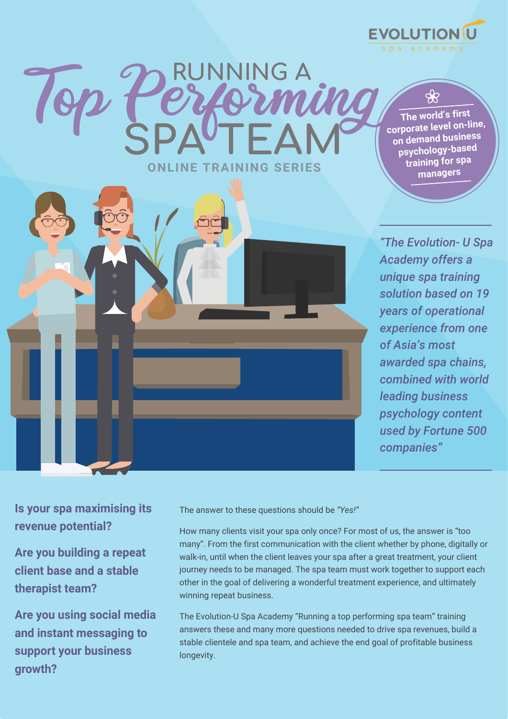**EVOLUTION (L** 

**The world's first corporate level on-line, on demand business psychology-based training for spa managers**

*"The Evolution- U Spa Academy offers a unique spa training solution based on 19 years of operational experience from one of Asia's most awarded spa chains, combined with world leading business psychology content used by Fortune 500 companies"*

**Is your spa maximising its revenue potential?**

**Are you building a repeat client base and a stable therapist team?**

**Are you using social media and instant messaging to support your business growth?**

The answer to these questions should be *"Yes!"*

**ONLINE TRAINING SERIES**

**RUNNING A**

Top Performing **SPA TEAM**

How many clients visit your spa only once? For most of us, the answer is "too many". From the first communication with the client whether by phone, digitally or walk-in, until when the client leaves your spa after a great treatment, your client journey needs to be managed. The spa team must work together to support each other in the goal of delivering a wonderful treatment experience, and ultimately winning repeat business.

The Evolution-U Spa Academy "Running a top performing spa team" training answers these and many more questions needed to drive spa revenues, build a stable clientele and spa team, and achieve the end goal of profitable business longevity.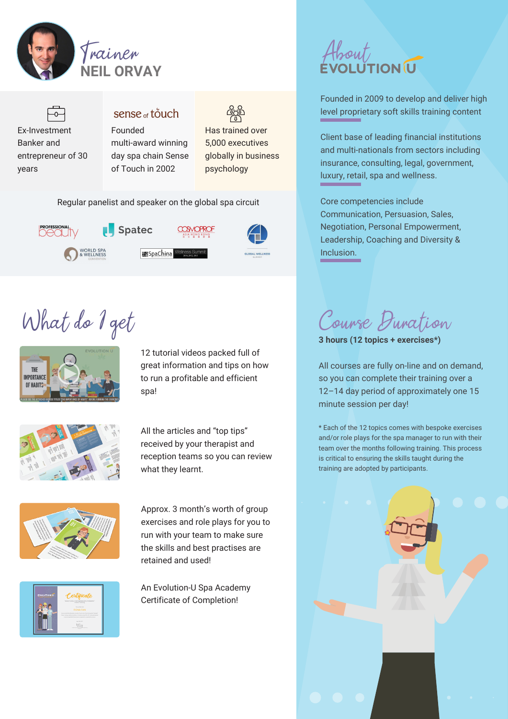



### sense <sub>of</sub> touch Founded



Has trained over 5,000 executives globally in business psychology

Regular panelist and speaker on the global spa circuit



# Frainer About

Founded in 2009 to develop and deliver high level proprietary soft skills training content

Client base of leading financial institutions and multi-nationals from sectors including insurance, consulting, legal, government, luxury, retail, spa and wellness.

Core competencies include Communication, Persuasion, Sales, Negotiation, Personal Empowerment, Leadership, Coaching and Diversity & Inclusion.

What do I get



12 tutorial videos packed full of great information and tips on how to run a profitable and efficient spa!



All the articles and "top tips" received by your therapist and reception teams so you can review what they learnt.



Approx. 3 month's worth of group exercises and role plays for you to run with your team to make sure the skills and best practises are retained and used!



An Evolution-U Spa Academy Certificate of Completion! "HOW TO BE A TOP EARNING SPA THERAPIST"

Course Duration

**3 hours (12 topics + exercises\*)**

All courses are fully on-line and on demand, so you can complete their training over a 12–14 day period of approximately one 15 minute session per day!

\* Each of the 12 topics comes with bespoke exercises and/or role plays for the spa manager to run with their team over the months following training. This process is critical to ensuring the skills taught during the training are adopted by participants.